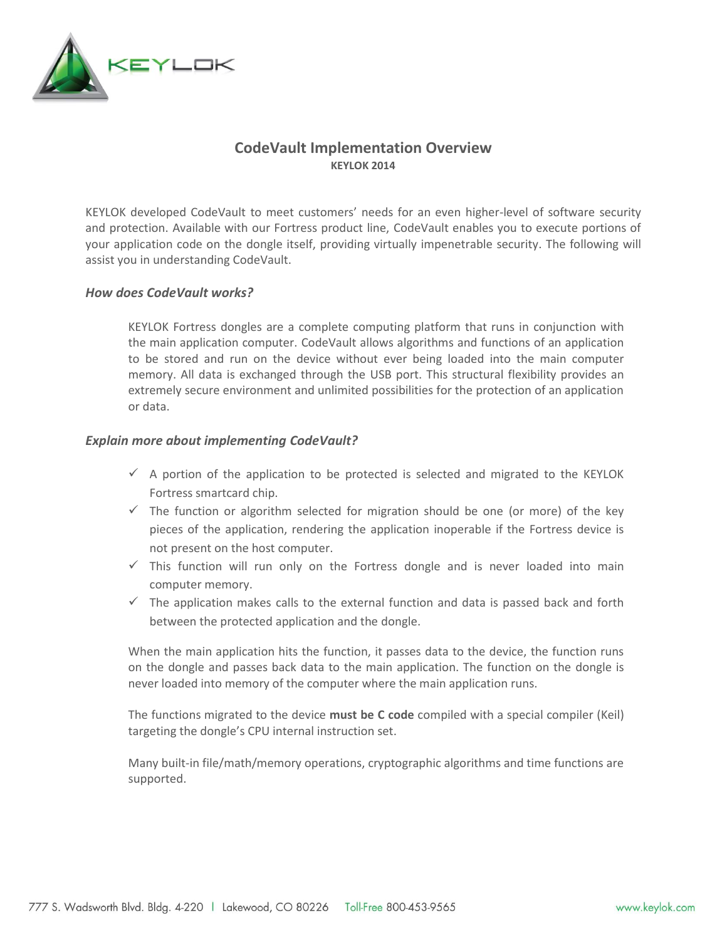

# **CodeVault Implementation Overview KEYLOK 2014**

KEYLOK developed CodeVault to meet customers' needs for an even higher-level of software security and protection. Available with our Fortress product line, CodeVault enables you to execute portions of your application code on the dongle itself, providing virtually impenetrable security. The following will assist you in understanding CodeVault.

#### *How does CodeVault works?*

KEYLOK Fortress dongles are a complete computing platform that runs in conjunction with the main application computer. CodeVault allows algorithms and functions of an application to be stored and run on the device without ever being loaded into the main computer memory. All data is exchanged through the USB port. This structural flexibility provides an extremely secure environment and unlimited possibilities for the protection of an application or data.

## *Explain more about implementing CodeVault?*

- $\checkmark$  A portion of the application to be protected is selected and migrated to the KEYLOK Fortress smartcard chip.
- $\checkmark$  The function or algorithm selected for migration should be one (or more) of the key pieces of the application, rendering the application inoperable if the Fortress device is not present on the host computer.
- $\checkmark$  This function will run only on the Fortress dongle and is never loaded into main computer memory.
- $\checkmark$  The application makes calls to the external function and data is passed back and forth between the protected application and the dongle.

When the main application hits the function, it passes data to the device, the function runs on the dongle and passes back data to the main application. The function on the dongle is never loaded into memory of the computer where the main application runs.

The functions migrated to the device **must be C code** compiled with a special compiler (Keil) targeting the dongle's CPU internal instruction set.

Many built-in file/math/memory operations, cryptographic algorithms and time functions are supported.